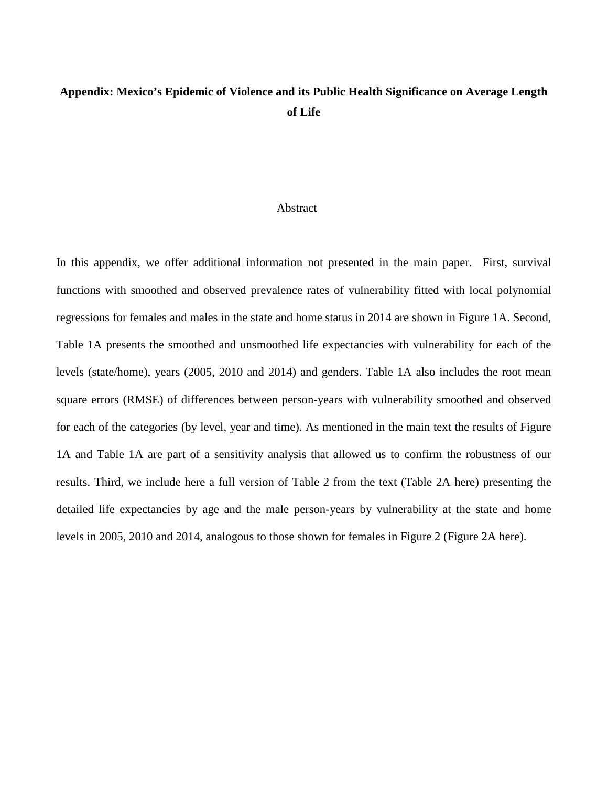## **Appendix: Mexico's Epidemic of Violence and its Public Health Significance on Average Length of Life**

## Abstract

In this appendix, we offer additional information not presented in the main paper. First, survival functions with smoothed and observed prevalence rates of vulnerability fitted with local polynomial regressions for females and males in the state and home status in 2014 are shown in Figure 1A. Second, Table 1A presents the smoothed and unsmoothed life expectancies with vulnerability for each of the levels (state/home), years (2005, 2010 and 2014) and genders. Table 1A also includes the root mean square errors (RMSE) of differences between person-years with vulnerability smoothed and observed for each of the categories (by level, year and time). As mentioned in the main text the results of Figure 1A and Table 1A are part of a sensitivity analysis that allowed us to confirm the robustness of our results. Third, we include here a full version of Table 2 from the text (Table 2A here) presenting the detailed life expectancies by age and the male person-years by vulnerability at the state and home levels in 2005, 2010 and 2014, analogous to those shown for females in Figure 2 (Figure 2A here).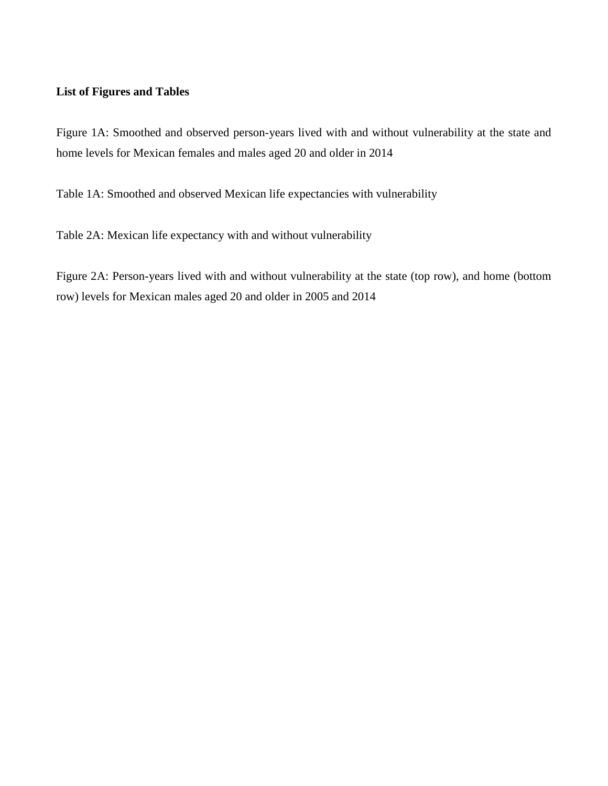## **List of Figures and Tables**

Figure 1A: Smoothed and observed person-years lived with and without vulnerability at the state and home levels for Mexican females and males aged 20 and older in 2014

Table 1A: Smoothed and observed Mexican life expectancies with vulnerability

Table 2A: Mexican life expectancy with and without vulnerability

Figure 2A: Person-years lived with and without vulnerability at the state (top row), and home (bottom row) levels for Mexican males aged 20 and older in 2005 and 2014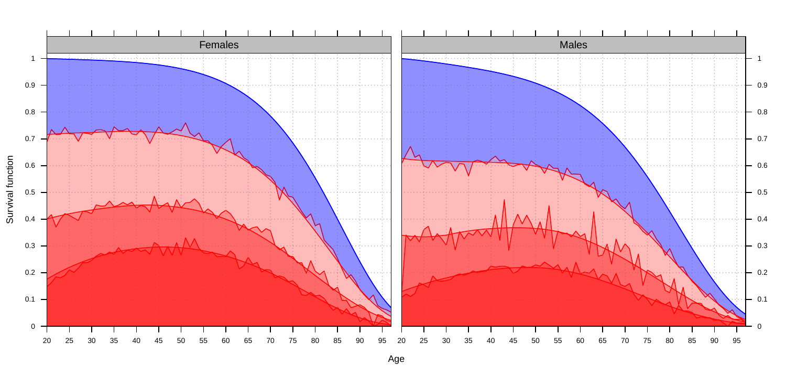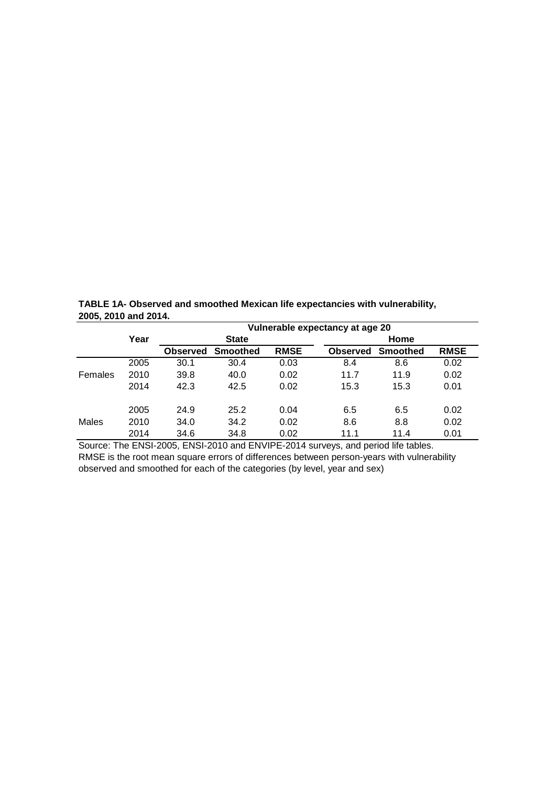| $200012010$ and $20171$ |                                 |                 |                 |             |                 |                 |             |  |  |
|-------------------------|---------------------------------|-----------------|-----------------|-------------|-----------------|-----------------|-------------|--|--|
|                         | Vulnerable expectancy at age 20 |                 |                 |             |                 |                 |             |  |  |
|                         | Year                            | <b>State</b>    |                 |             | Home            |                 |             |  |  |
|                         |                                 | <b>Observed</b> | <b>Smoothed</b> | <b>RMSE</b> | <b>Observed</b> | <b>Smoothed</b> | <b>RMSE</b> |  |  |
|                         | 2005                            | 30.1            | 30.4            | 0.03        | 8.4             | 8.6             | 0.02        |  |  |
| Females                 | 2010                            | 39.8            | 40.0            | 0.02        | 11.7            | 11.9            | 0.02        |  |  |
|                         | 2014                            | 42.3            | 42.5            | 0.02        | 15.3            | 15.3            | 0.01        |  |  |
|                         | 2005                            | 24.9            | 25.2            | 0.04        | 6.5             | 6.5             | 0.02        |  |  |
| Males                   | 2010                            | 34.0            | 34.2            | 0.02        | 8.6             | 8.8             | 0.02        |  |  |
|                         | 2014                            | 34.6            | 34.8            | 0.02        | 11.1            | 11.4            | 0.01        |  |  |

**TABLE 1A- Observed and smoothed Mexican life expectancies with vulnerability, 2005, 2010 and 2014.**

Source: The ENSI-2005, ENSI-2010 and ENVIPE-2014 surveys, and period life tables. RMSE is the root mean square errors of differences between person-years with vulnerability observed and smoothed for each of the categories (by level, year and sex)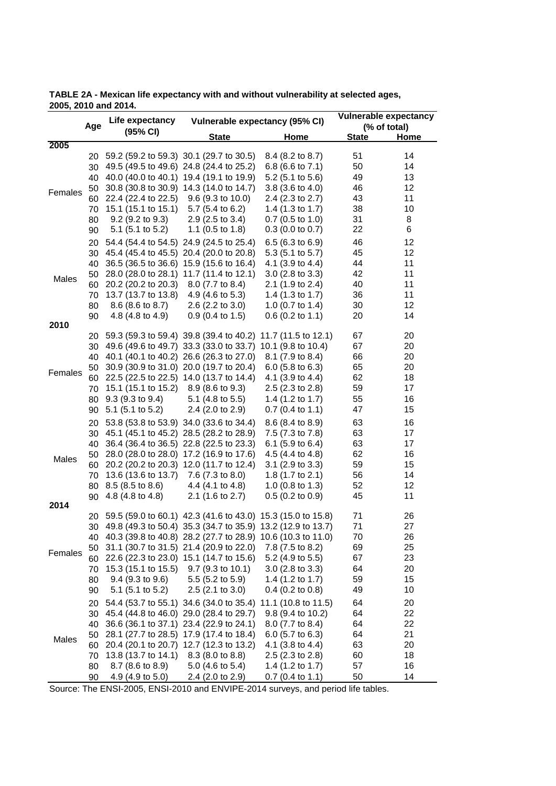**TABLE 2A - Mexican life expectancy with and without vulnerability at selected ages, 2005, 2010 and 2014.**

|         |          | Life expectancy                                                |                                                             | <b>Vulnerable expectancy</b>                      |              |             |
|---------|----------|----------------------------------------------------------------|-------------------------------------------------------------|---------------------------------------------------|--------------|-------------|
| Age     |          | (95% CI)                                                       | Vulnerable expectancy (95% CI)                              |                                                   | (% of total) |             |
|         |          |                                                                | <b>State</b>                                                | Home                                              | <b>State</b> | <b>Home</b> |
| 2005    |          |                                                                |                                                             |                                                   |              |             |
|         | 20       | 59.2 (59.2 to 59.3) 30.1 (29.7 to 30.5)                        |                                                             | 8.4 (8.2 to 8.7)                                  | 51           | 14          |
|         | 30       |                                                                | 49.5 (49.5 to 49.6) 24.8 (24.4 to 25.2)                     | 6.8 (6.6 to 7.1)                                  | 50<br>49     | 14          |
|         |          | 40 40.0 (40.0 to 40.1) 19.4 (19.1 to 19.9)                     |                                                             | $5.2$ (5.1 to $5.6$ )                             | 46           | 13<br>12    |
| Females | 50       | 22.4 (22.4 to 22.5) 9.6 (9.3 to 10.0)                          | 30.8 (30.8 to 30.9) 14.3 (14.0 to 14.7)                     | 3.8 (3.6 to 4.0)                                  | 43           | 11          |
|         | 60       | 15.1 (15.1 to 15.1) 5.7 (5.4 to 6.2)                           |                                                             | 2.4 (2.3 to 2.7)<br>1.4 (1.3 to 1.7)              | 38           | 10          |
|         | 70       | $9.2$ (9.2 to 9.3)                                             | $2.9$ (2.5 to 3.4)                                          | $0.7$ (0.5 to 1.0)                                | 31           | 8           |
|         | 80<br>90 | $5.1$ (5.1 to 5.2)                                             | 1.1 $(0.5 \text{ to } 1.8)$                                 | $0.3$ (0.0 to 0.7)                                | 22           | 6           |
|         | 20       |                                                                | 54.4 (54.4 to 54.5) 24.9 (24.5 to 25.4)                     | 6.5 (6.3 to 6.9)                                  | 46           | 12          |
|         | 30       |                                                                | 45.4 (45.4 to 45.5) 20.4 (20.0 to 20.8)                     | $5.3(5.1 \text{ to } 5.7)$                        | 45           | 12          |
|         | 40       | 36.5 (36.5 to 36.6)                                            | 15.9 (15.6 to 16.4)                                         | 4.1 $(3.9 \text{ to } 4.4)$                       | 44           | 11          |
|         | 50       |                                                                | 28.0 (28.0 to 28.1) 11.7 (11.4 to 12.1)                     | $3.0$ (2.8 to 3.3)                                | 42           | 11          |
| Males   | 60       | 20.2 (20.2 to 20.3)                                            | 8.0 (7.7 to 8.4)                                            | 2.1 (1.9 to 2.4)                                  | 40           | 11          |
|         | 70       | 13.7 (13.7 to 13.8)                                            | 4.9 $(4.6 \text{ to } 5.3)$                                 | 1.4 (1.3 to 1.7)                                  | 36           | 11          |
|         | 80       | 8.6 (8.6 to 8.7)                                               | $2.6$ (2.2 to 3.0)                                          | 1.0 $(0.7 \text{ to } 1.4)$                       | 30           | 12          |
|         | 90       | 4.8 (4.8 to 4.9)                                               | $0.9$ (0.4 to 1.5)                                          | $0.6$ (0.2 to 1.1)                                | 20           | 14          |
| 2010    |          |                                                                |                                                             |                                                   |              |             |
|         |          | 20 59.3 (59.3 to 59.4) 39.8 (39.4 to 40.2) 11.7 (11.5 to 12.1) | 49.6 (49.6 to 49.7) 33.3 (33.0 to 33.7)                     |                                                   | 67           | 20          |
|         | 30       | 40 40.1 (40.1 to 40.2) 26.6 (26.3 to 27.0)                     |                                                             | 10.1 (9.8 to 10.4)<br>8.1 (7.9 to 8.4)            | 67<br>66     | 20<br>20    |
|         |          |                                                                | 30.9 (30.9 to 31.0) 20.0 (19.7 to 20.4)                     | $6.0$ (5.8 to 6.3)                                | 65           | 20          |
| Females | 50       | 60 22.5 (22.5 to 22.5) 14.0 (13.7 to 14.4)                     |                                                             | 4.1 (3.9 to 4.4)                                  | 62           | 18          |
|         |          | 15.1 (15.1 to 15.2) 8.9 (8.6 to 9.3)                           |                                                             | $2.5$ (2.3 to 2.8)                                | 59           | 17          |
|         | 70<br>80 | $9.3(9.3 \text{ to } 9.4)$                                     | 5.1 $(4.8 \text{ to } 5.5)$                                 | 1.4 (1.2 to 1.7)                                  | 55           | 16          |
|         | 90       | $5.1$ (5.1 to 5.2)                                             | 2.4 (2.0 to 2.9)                                            | $0.7$ (0.4 to 1.1)                                | 47           | 15          |
|         |          |                                                                |                                                             |                                                   |              |             |
|         | 20       |                                                                | 53.8 (53.8 to 53.9) 34.0 (33.6 to 34.4)                     | 8.6 (8.4 to 8.9)                                  | 63           | 16          |
|         | 30       |                                                                | 45.1 (45.1 to 45.2) 28.5 (28.2 to 28.9)                     | 7.5 (7.3 to 7.8)                                  | 63           | 17          |
|         | 40       |                                                                | 36.4 (36.4 to 36.5) 22.8 (22.5 to 23.3)                     | 6.1 $(5.9 \text{ to } 6.4)$                       | 63           | 17          |
| Males   | 50       |                                                                | 28.0 (28.0 to 28.0) 17.2 (16.9 to 17.6)                     | 4.5 (4.4 to 4.8)                                  | 62           | 16          |
|         | 60       |                                                                | 20.2 (20.2 to 20.3) 12.0 (11.7 to 12.4)                     | $3.1$ (2.9 to 3.3)                                | 59<br>56     | 15<br>14    |
|         | 70       | 13.6 (13.6 to 13.7) 7.6 (7.3 to 8.0)                           |                                                             | 1.8 (1.7 to 2.1)                                  | 52           | 12          |
|         | 80       | 8.5 (8.5 to 8.6)<br>4.8 (4.8 to 4.8)                           | 4.4 (4.1 to 4.8)<br>$2.1$ (1.6 to 2.7)                      | 1.0 $(0.8 \text{ to } 1.3)$<br>$0.5$ (0.2 to 0.9) | 45           | 11          |
| 2014    | 90       |                                                                |                                                             |                                                   |              |             |
|         | 20       |                                                                | 59.5 (59.0 to 60.1) 42.3 (41.6 to 43.0) 15.3 (15.0 to 15.8) |                                                   | 71           | 26          |
| Females | 30       |                                                                | 49.8 (49.3 to 50.4) 35.3 (34.7 to 35.9) 13.2 (12.9 to 13.7) |                                                   | 71           | 27          |
|         | 40       |                                                                | 40.3 (39.8 to 40.8) 28.2 (27.7 to 28.9) 10.6 (10.3 to 11.0) |                                                   | 70           | 26          |
|         | 50       |                                                                | 31.1 (30.7 to 31.5) 21.4 (20.9 to 22.0)                     | 7.8 (7.5 to 8.2)                                  | 69           | 25          |
|         | 60       |                                                                | 22.6 (22.3 to 23.0) 15.1 (14.7 to 15.6)                     | 5.2 (4.9 to 5.5)                                  | 67           | 23          |
|         | 70       | 15.3 (15.1 to 15.5) 9.7 (9.3 to 10.1)                          |                                                             | 3.0 (2.8 to 3.3)                                  | 64           | 20          |
|         | 80       | $9.4$ (9.3 to 9.6)                                             | $5.5$ (5.2 to $5.9$ )                                       | 1.4 (1.2 to 1.7)                                  | 59           | 15          |
|         | 90       | $5.1$ (5.1 to 5.2)                                             | $2.5$ (2.1 to 3.0)                                          | $0.4$ (0.2 to 0.8)                                | 49           | 10          |
| Males   | 20       |                                                                | 54.4 (53.7 to 55.1) 34.6 (34.0 to 35.4)                     | 11.1 (10.8 to 11.5)                               | 64           | 20          |
|         | 30       |                                                                | 45.4 (44.8 to 46.0) 29.0 (28.4 to 29.7)                     | 9.8 (9.4 to 10.2)                                 | 64           | 22          |
|         | 40       |                                                                | 36.6 (36.1 to 37.1) 23.4 (22.9 to 24.1)                     | 8.0 (7.7 to 8.4)                                  | 64           | 22          |
|         | 50       |                                                                | 28.1 (27.7 to 28.5) 17.9 (17.4 to 18.4)                     | 6.0 $(5.7 \text{ to } 6.3)$                       | 64           | 21          |
|         | 60       |                                                                | 20.4 (20.1 to 20.7) 12.7 (12.3 to 13.2)                     | 4.1 (3.8 to 4.4)                                  | 63           | 20          |
|         | 70       | 13.8 (13.7 to 14.1)                                            | 8.3 (8.0 to 8.8)                                            | $2.5$ (2.3 to 2.8)                                | 60           | 18          |
|         | 80       | $8.7$ (8.6 to 8.9)                                             | $5.0$ (4.6 to $5.4$ )                                       | 1.4 (1.2 to 1.7)                                  | 57           | 16          |
|         | 90       | 4.9 $(4.9 \text{ to } 5.0)$                                    | 2.4 (2.0 to 2.9)                                            | $0.7$ (0.4 to 1.1)                                | 50           | 14          |

Source: The ENSI-2005, ENSI-2010 and ENVIPE-2014 surveys, and period life tables.